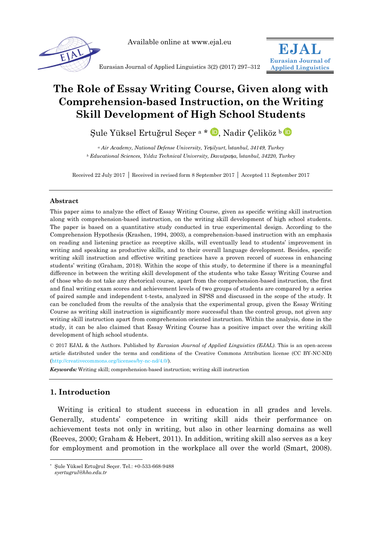

Available online at www.ejal.eu



**EJAL**

# **The Role of Essay Writing Course, Given along with Comprehension-based Instruction, on the Writing Skill Development of High School Students**

Sule Yüksel Ertuğrul Secer<sup>a \*</sup> D. Nadir Celiköz <sup>[b](http://orcid.org/0000-0003-3826-0070)</sup> D

*<sup>a</sup> Air Academy, National Defense University, Ye*ş*ilyurt,* İ*stanbul, 34149, Turkey <sup>b</sup> Educational Sciences, Yıldız Technical University, Davutpa*ş*a,* İ*stanbul, 34220, Turkey*

Received 22 July 2017 Received in revised form 8 September 2017 Accepted 11 September 2017

# **Abstract**

This paper aims to analyze the effect of Essay Writing Course, given as specific writing skill instruction along with comprehension-based instruction, on the writing skill development of high school students. The paper is based on a quantitative study conducted in true experimental design. According to the Comprehension Hypothesis (Krashen, 1994, 2003), a comprehension-based instruction with an emphasis on reading and listening practice as receptive skills, will eventually lead to students' improvement in writing and speaking as productive skills, and to their overall language development. Besides, specific writing skill instruction and effective writing practices have a proven record of success in enhancing students' writing (Graham, 2018). Within the scope of this study, to determine if there is a meaningful difference in between the writing skill development of the students who take Essay Writing Course and of those who do not take any rhetorical course, apart from the comprehension-based instruction, the first and final writing exam scores and achievement levels of two groups of students are compared by a series of paired sample and independent t-tests, analyzed in SPSS and discussed in the scope of the study. It can be concluded from the results of the analysis that the experimental group, given the Essay Writing Course as writing skill instruction is significantly more successful than the control group, not given any writing skill instruction apart from comprehension oriented instruction. Within the analysis, done in the study, it can be also claimed that Essay Writing Course has a positive impact over the writing skill development of high school students.

© 2017 EJAL & the Authors. Published by *Eurasian Journal of Applied Linguistics (EJAL)*. This is an open-access article distributed under the terms and conditions of the Creative Commons Attribution license (CC BY-NC-ND) (http://creativecommons.org/licenses/by-nc-nd/4.0/).

*Keywords:* Writing skill; comprehension-based instruction; writing skill instruction

# **1. Introduction**

-

Writing is critical to student success in education in all grades and levels. Generally, students' competence in writing skill aids their performance on achievement tests not only in writing, but also in other learning domains as well (Reeves, 2000; Graham & Hebert, 2011). In addition, writing skill also serves as a key for employment and promotion in the workplace all over the world (Smart, 2008).

<sup>\*</sup> Şule Yüksel Ertuğrul Seçer. Tel.: +0-533-668-9488 *syertugrul@hho.edu.tr*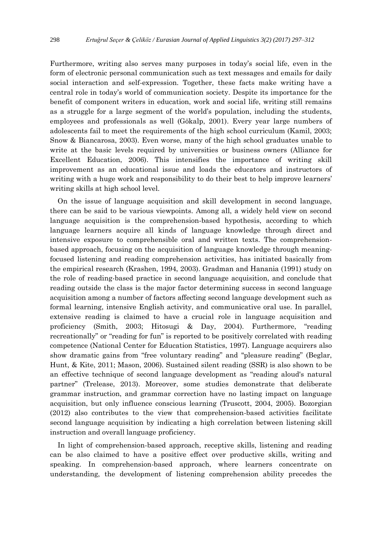Furthermore, writing also serves many purposes in today's social life, even in the form of electronic personal communication such as text messages and emails for daily social interaction and self-expression. Together, these facts make writing have a central role in today's world of communication society. Despite its importance for the benefit of component writers in education, work and social life, writing still remains as a struggle for a large segment of the world's population, including the students, employees and professionals as well (Gökalp, 2001). Every year large numbers of adolescents fail to meet the requirements of the high school curriculum (Kamil, 2003; Snow & Biancarosa, 2003). Even worse, many of the high school graduates unable to write at the basic levels required by universities or business owners (Alliance for Excellent Education, 2006). This intensifies the importance of writing skill improvement as an educational issue and loads the educators and instructors of writing with a huge work and responsibility to do their best to help improve learners' writing skills at high school level.

On the issue of language acquisition and skill development in second language, there can be said to be various viewpoints. Among all, a widely held view on second language acquisition is the comprehension-based hypothesis, according to which language learners acquire all kinds of language knowledge through direct and intensive exposure to comprehensible oral and written texts. The comprehensionbased approach, focusing on the acquisition of language knowledge through meaningfocused listening and reading comprehension activities, has initiated basically from the empirical research (Krashen, 1994, 2003). Gradman and Hanania (1991) study on the role of reading-based practice in second language acquisition, and conclude that reading outside the class is the major factor determining success in second language acquisition among a number of factors affecting second language development such as formal learning, intensive English activity, and communicative oral use. In parallel, extensive reading is claimed to have a crucial role in language acquisition and proficiency (Smith, 2003; Hitosugi & Day, 2004). Furthermore, "reading recreationally" or "reading for fun" is reported to be positively correlated with reading competence (National Center for Education Statistics, 1997). Language acquirers also show dramatic gains from "free voluntary reading" and "pleasure reading" (Beglar, Hunt, & Kite, 2011; Mason, 2006). Sustained silent reading (SSR) is also shown to be an effective technique of second language development as "reading aloud's natural partner" (Trelease, 2013). Moreover, some studies demonstrate that deliberate grammar instruction, and grammar correction have no lasting impact on language acquisition, but only influence conscious learning (Truscott, 2004, 2005). Bozorgian (2012) also contributes to the view that comprehension-based activities facilitate second language acquisition by indicating a high correlation between listening skill instruction and overall language proficiency.

In light of comprehension-based approach, receptive skills, listening and reading can be also claimed to have a positive effect over productive skills, writing and speaking. In comprehension-based approach, where learners concentrate on understanding, the development of listening comprehension ability precedes the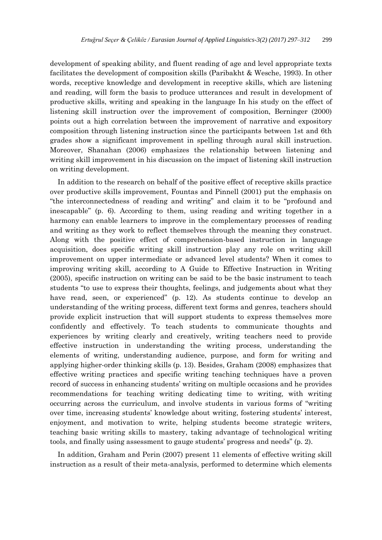development of speaking ability, and fluent reading of age and level appropriate texts facilitates the development of composition skills (Paribakht & Wesche, 1993). In other words, receptive knowledge and development in receptive skills, which are listening and reading, will form the basis to produce utterances and result in development of productive skills, writing and speaking in the language In his study on the effect of listening skill instruction over the improvement of composition, Berninger (2000) points out a high correlation between the improvement of narrative and expository composition through listening instruction since the participants between 1st and 6th grades show a significant improvement in spelling through aural skill instruction. Moreover, Shanahan (2006) emphasizes the relationship between listening and writing skill improvement in his discussion on the impact of listening skill instruction on writing development.

In addition to the research on behalf of the positive effect of receptive skills practice over productive skills improvement, Fountas and Pinnell (2001) put the emphasis on "the interconnectedness of reading and writing" and claim it to be "profound and inescapable" (p. 6). According to them, using reading and writing together in a harmony can enable learners to improve in the complementary processes of reading and writing as they work to reflect themselves through the meaning they construct. Along with the positive effect of comprehension-based instruction in language acquisition, does specific writing skill instruction play any role on writing skill improvement on upper intermediate or advanced level students? When it comes to improving writing skill, according to A Guide to Effective Instruction in Writing (2005), specific instruction on writing can be said to be the basic instrument to teach students "to use to express their thoughts, feelings, and judgements about what they have read, seen, or experienced" (p. 12). As students continue to develop an understanding of the writing process, different text forms and genres, teachers should provide explicit instruction that will support students to express themselves more confidently and effectively. To teach students to communicate thoughts and experiences by writing clearly and creatively, writing teachers need to provide effective instruction in understanding the writing process, understanding the elements of writing, understanding audience, purpose, and form for writing and applying higher-order thinking skills (p. 13). Besides, Graham (2008) emphasizes that effective writing practices and specific writing teaching techniques have a proven record of success in enhancing students' writing on multiple occasions and he provides recommendations for teaching writing dedicating time to writing, with writing occurring across the curriculum, and involve students in various forms of "writing over time, increasing students' knowledge about writing, fostering students' interest, enjoyment, and motivation to write, helping students become strategic writers, teaching basic writing skills to mastery, taking advantage of technological writing tools, and finally using assessment to gauge students' progress and needs" (p. 2).

In addition, Graham and Perin (2007) present 11 elements of effective writing skill instruction as a result of their meta-analysis, performed to determine which elements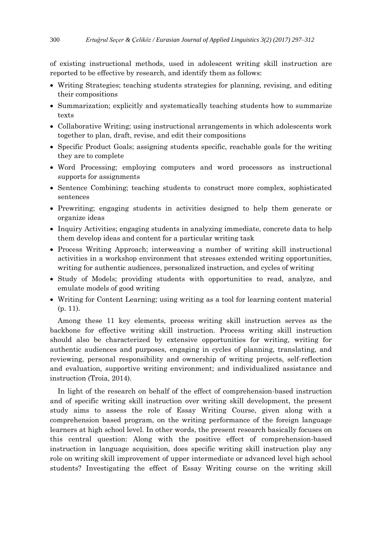of existing instructional methods, used in adolescent writing skill instruction are reported to be effective by research, and identify them as follows:

- Writing Strategies; teaching students strategies for planning, revising, and editing their compositions
- Summarization; explicitly and systematically teaching students how to summarize texts
- Collaborative Writing; using instructional arrangements in which adolescents work together to plan, draft, revise, and edit their compositions
- Specific Product Goals; assigning students specific, reachable goals for the writing they are to complete
- Word Processing; employing computers and word processors as instructional supports for assignments
- Sentence Combining; teaching students to construct more complex, sophisticated sentences
- Prewriting; engaging students in activities designed to help them generate or organize ideas
- Inquiry Activities; engaging students in analyzing immediate, concrete data to help them develop ideas and content for a particular writing task
- Process Writing Approach; interweaving a number of writing skill instructional activities in a workshop environment that stresses extended writing opportunities, writing for authentic audiences, personalized instruction, and cycles of writing
- Study of Models; providing students with opportunities to read, analyze, and emulate models of good writing
- Writing for Content Learning; using writing as a tool for learning content material (p. 11).

Among these 11 key elements, process writing skill instruction serves as the backbone for effective writing skill instruction. Process writing skill instruction should also be characterized by extensive opportunities for writing, writing for authentic audiences and purposes, engaging in cycles of planning, translating, and reviewing, personal responsibility and ownership of writing projects, self-reflection and evaluation, supportive writing environment; and individualized assistance and instruction (Troia, 2014).

In light of the research on behalf of the effect of comprehension-based instruction and of specific writing skill instruction over writing skill development, the present study aims to assess the role of Essay Writing Course, given along with a comprehension based program, on the writing performance of the foreign language learners at high school level. In other words, the present research basically focuses on this central question: Along with the positive effect of comprehension-based instruction in language acquisition, does specific writing skill instruction play any role on writing skill improvement of upper intermediate or advanced level high school students? Investigating the effect of Essay Writing course on the writing skill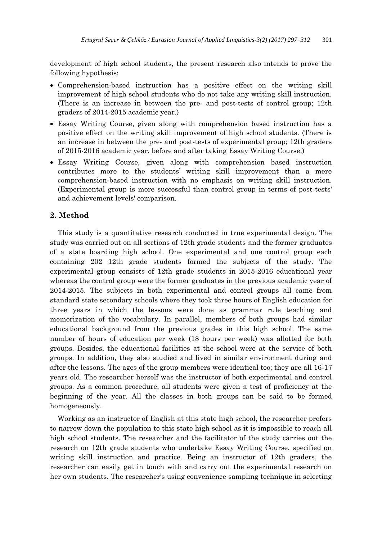development of high school students, the present research also intends to prove the following hypothesis:

- Comprehension-based instruction has a positive effect on the writing skill improvement of high school students who do not take any writing skill instruction. (There is an increase in between the pre- and post-tests of control group; 12th graders of 2014-2015 academic year.)
- Essay Writing Course, given along with comprehension based instruction has a positive effect on the writing skill improvement of high school students. (There is an increase in between the pre- and post-tests of experimental group; 12th graders of 2015-2016 academic year, before and after taking Essay Writing Course.)
- Essay Writing Course, given along with comprehension based instruction contributes more to the students' writing skill improvement than a mere comprehension-based instruction with no emphasis on writing skill instruction. (Experimental group is more successful than control group in terms of post-tests' and achievement levels' comparison.

# **2. Method**

This study is a quantitative research conducted in true experimental design. The study was carried out on all sections of 12th grade students and the former graduates of a state boarding high school. One experimental and one control group each containing 202 12th grade students formed the subjects of the study. The experimental group consists of 12th grade students in 2015-2016 educational year whereas the control group were the former graduates in the previous academic year of 2014-2015. The subjects in both experimental and control groups all came from standard state secondary schools where they took three hours of English education for three years in which the lessons were done as grammar rule teaching and memorization of the vocabulary. In parallel, members of both groups had similar educational background from the previous grades in this high school. The same number of hours of education per week (18 hours per week) was allotted for both groups. Besides, the educational facilities at the school were at the service of both groups. In addition, they also studied and lived in similar environment during and after the lessons. The ages of the group members were identical too; they are all 16-17 years old. The researcher herself was the instructor of both experimental and control groups. As a common procedure, all students were given a test of proficiency at the beginning of the year. All the classes in both groups can be said to be formed homogeneously.

Working as an instructor of English at this state high school, the researcher prefers to narrow down the population to this state high school as it is impossible to reach all high school students. The researcher and the facilitator of the study carries out the research on 12th grade students who undertake Essay Writing Course, specified on writing skill instruction and practice. Being an instructor of 12th graders, the researcher can easily get in touch with and carry out the experimental research on her own students. The researcher's using convenience sampling technique in selecting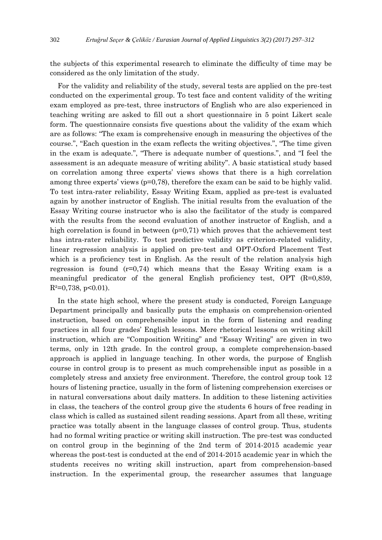the subjects of this experimental research to eliminate the difficulty of time may be considered as the only limitation of the study.

For the validity and reliability of the study, several tests are applied on the pre-test conducted on the experimental group. To test face and content validity of the writing exam employed as pre-test, three instructors of English who are also experienced in teaching writing are asked to fill out a short questionnaire in 5 point Likert scale form. The questionnaire consists five questions about the validity of the exam which are as follows: "The exam is comprehensive enough in measuring the objectives of the course.", "Each question in the exam reflects the writing objectives.", "The time given in the exam is adequate.", "There is adequate number of questions.", and "I feel the assessment is an adequate measure of writing ability". A basic statistical study based on correlation among three experts' views shows that there is a high correlation among three experts' views (p=0,78), therefore the exam can be said to be highly valid. To test intra-rater reliability, Essay Writing Exam, applied as pre-test is evaluated again by another instructor of English. The initial results from the evaluation of the Essay Writing course instructor who is also the facilitator of the study is compared with the results from the second evaluation of another instructor of English, and a high correlation is found in between  $(p=0,71)$  which proves that the achievement test has intra-rater reliability. To test predictive validity as criterion-related validity, linear regression analysis is applied on pre-test and OPT-Oxford Placement Test which is a proficiency test in English. As the result of the relation analysis high regression is found  $(r=0.74)$  which means that the Essay Writing exam is a meaningful predicator of the general English proficiency test,  $\text{OPT}$  (R=0,859,  $R^2=0,738, p<0.01$ ).

In the state high school, where the present study is conducted, Foreign Language Department principally and basically puts the emphasis on comprehension-oriented instruction, based on comprehensible input in the form of listening and reading practices in all four grades' English lessons. Mere rhetorical lessons on writing skill instruction, which are "Composition Writing" and "Essay Writing" are given in two terms, only in 12th grade. In the control group, a complete comprehension-based approach is applied in language teaching. In other words, the purpose of English course in control group is to present as much comprehensible input as possible in a completely stress and anxiety free environment. Therefore, the control group took 12 hours of listening practice, usually in the form of listening comprehension exercises or in natural conversations about daily matters. In addition to these listening activities in class, the teachers of the control group give the students 6 hours of free reading in class which is called as sustained silent reading sessions. Apart from all these, writing practice was totally absent in the language classes of control group. Thus, students had no formal writing practice or writing skill instruction. The pre-test was conducted on control group in the beginning of the 2nd term of 2014-2015 academic year whereas the post-test is conducted at the end of 2014-2015 academic year in which the students receives no writing skill instruction, apart from comprehension-based instruction. In the experimental group, the researcher assumes that language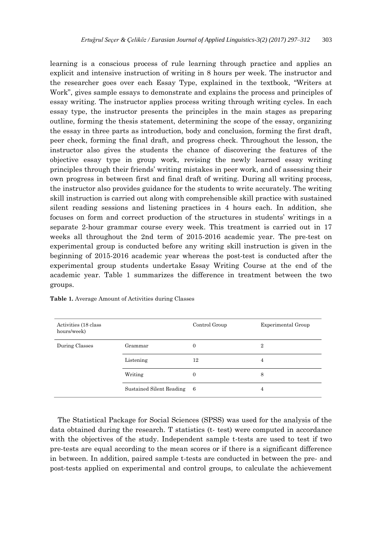learning is a conscious process of rule learning through practice and applies an explicit and intensive instruction of writing in 8 hours per week. The instructor and the researcher goes over each Essay Type, explained in the textbook, "Writers at Work", gives sample essays to demonstrate and explains the process and principles of essay writing. The instructor applies process writing through writing cycles. In each essay type, the instructor presents the principles in the main stages as preparing outline, forming the thesis statement, determining the scope of the essay, organizing the essay in three parts as introduction, body and conclusion, forming the first draft, peer check, forming the final draft, and progress check. Throughout the lesson, the instructor also gives the students the chance of discovering the features of the objective essay type in group work, revising the newly learned essay writing principles through their friends' writing mistakes in peer work, and of assessing their own progress in between first and final draft of writing. During all writing process, the instructor also provides guidance for the students to write accurately. The writing skill instruction is carried out along with comprehensible skill practice with sustained silent reading sessions and listening practices in 4 hours each. In addition, she focuses on form and correct production of the structures in students' writings in a separate 2-hour grammar course every week. This treatment is carried out in 17 weeks all throughout the 2nd term of 2015-2016 academic year. The pre-test on experimental group is conducted before any writing skill instruction is given in the beginning of 2015-2016 academic year whereas the post-test is conducted after the experimental group students undertake Essay Writing Course at the end of the academic year. Table 1 summarizes the difference in treatment between the two groups.

| Activities (18 class)<br>hours/week) |                          | Control Group | Experimental Group |
|--------------------------------------|--------------------------|---------------|--------------------|
| During Classes                       | Grammar                  | 0             | $\overline{2}$     |
|                                      | Listening                | 12            | 4                  |
|                                      | Writing                  | 0             | 8                  |
|                                      | Sustained Silent Reading | - 6           | 4                  |

|  | Table 1. Average Amount of Activities during Classes |  |  |
|--|------------------------------------------------------|--|--|
|--|------------------------------------------------------|--|--|

The Statistical Package for Social Sciences (SPSS) was used for the analysis of the data obtained during the research. T statistics (t- test) were computed in accordance with the objectives of the study. Independent sample t-tests are used to test if two pre-tests are equal according to the mean scores or if there is a significant difference in between. In addition, paired sample t-tests are conducted in between the pre- and post-tests applied on experimental and control groups, to calculate the achievement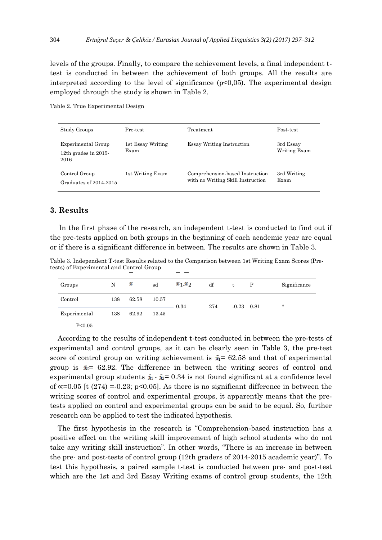levels of the groups. Finally, to compare the achievement levels, a final independent ttest is conducted in between the achievement of both groups. All the results are interpreted according to the level of significance  $(p<0.05)$ . The experimental design employed through the study is shown in Table 2.

Table 2. True Experimental Design

| Study Groups                                          | Pre-test                  | Treatment                                                            | Post-test                 |
|-------------------------------------------------------|---------------------------|----------------------------------------------------------------------|---------------------------|
| Experimental Group<br>12th grades in $2015$ -<br>2016 | 1st Essay Writing<br>Exam | <b>Essay Writing Instruction</b>                                     | 3rd Essay<br>Writing Exam |
| Control Group<br>Graduates of 2014-2015               | 1st Writing Exam          | Comprehension-based Instruction<br>with no Writing Skill Instruction | 3rd Writing<br>Exam       |

## **3. Results**

In the first phase of the research, an independent t-test is conducted to find out if the pre-tests applied on both groups in the beginning of each academic year are equal or if there is a significant difference in between. The results are shown in Table 3.

Table 3. Independent T-test Results related to the Comparison between 1st Writing Exam Scores (Pretests) of Experimental and Control Group

| Groups       | N   | x     | sd    | $x_1x_2$ | df  | t            | P | Significance |
|--------------|-----|-------|-------|----------|-----|--------------|---|--------------|
| Control      | 138 | 62.58 | 10.57 | 0.34     | 274 | $-0.23$ 0.81 |   | $\star$      |
| Experimental | 138 | 62.92 | 13.45 |          |     |              |   |              |
| P<0.05       |     |       |       |          |     |              |   |              |

According to the results of independent t-test conducted in between the pre-tests of experimental and control groups, as it can be clearly seen in Table 3, the pre-test score of control group on writing achievement is  $\bar{x}_1$  = 62.58 and that of experimental group is  $\dot{x}_2$  = 62.92. The difference in between the writing scores of control and experimental group students  $\bar{x}_1 - \bar{x}_2 = 0.34$  is not found significant at a confidence level of  $\alpha$ =0.05 [t (274) = 0.23; p<0.05]. As there is no significant difference in between the writing scores of control and experimental groups, it apparently means that the pretests applied on control and experimental groups can be said to be equal. So, further research can be applied to test the indicated hypothesis.

The first hypothesis in the research is "Comprehension-based instruction has a positive effect on the writing skill improvement of high school students who do not take any writing skill instruction". In other words, "There is an increase in between the pre- and post-tests of control group (12th graders of 2014-2015 academic year)". To test this hypothesis, a paired sample t-test is conducted between pre- and post-test which are the 1st and 3rd Essay Writing exams of control group students, the 12th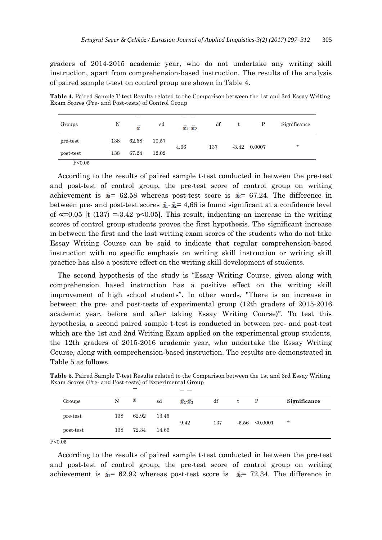graders of 2014-2015 academic year, who do not undertake any writing skill instruction, apart from comprehension-based instruction. The results of the analysis of paired sample t-test on control group are shown in Table 4.

**Table 4.** Paired Sample T-test Results related to the Comparison between the 1st and 3rd Essay Writing Exam Scores (Pre- and Post-tests) of Control Group

| Groups    | N   | x     | sd    | $\bar{x}_1 \bar{x}_2$ | df  | t | P              | Significance |
|-----------|-----|-------|-------|-----------------------|-----|---|----------------|--------------|
| pre-test  | 138 | 62.58 | 10.57 |                       |     |   |                | $\star$      |
| post-test | 138 | 67.24 | 12.02 | 4.66                  | 137 |   | $-3.42$ 0.0007 |              |
| P<0.05    |     |       |       |                       |     |   |                |              |

According to the results of paired sample t-test conducted in between the pre-test and post-test of control group, the pre-test score of control group on writing achievement is  $\bar{x}_1$  = 62.58 whereas post-test score is  $\bar{x}_2$  = 67.24. The difference in between pre- and post-test scores  $\bar{x}_1 - \bar{x}_2 = 4.66$  is found significant at a confidence level of  $\infty$ =0.05 [t (137) = 3.42 p<0.05]. This result, indicating an increase in the writing scores of control group students proves the first hypothesis. The significant increase in between the first and the last writing exam scores of the students who do not take Essay Writing Course can be said to indicate that regular comprehension-based instruction with no specific emphasis on writing skill instruction or writing skill practice has also a positive effect on the writing skill development of students.

The second hypothesis of the study is "Essay Writing Course, given along with comprehension based instruction has a positive effect on the writing skill improvement of high school students". In other words, "There is an increase in between the pre- and post-tests of experimental group (12th graders of 2015-2016 academic year, before and after taking Essay Writing Course)". To test this hypothesis, a second paired sample t-test is conducted in between pre- and post-test which are the 1st and 2nd Writing Exam applied on the experimental group students, the 12th graders of 2015-2016 academic year, who undertake the Essay Writing Course, along with comprehension-based instruction. The results are demonstrated in Table 5 as follows.

|           |     | _     |       |               |     |         |          |              |
|-----------|-----|-------|-------|---------------|-----|---------|----------|--------------|
| Groups    | N   | x     | sd    | $x_1$ , $x_2$ | df  | t       | P        | Significance |
| pre-test  | 138 | 62.92 | 13.45 | 9.42          | 137 | $-5.56$ | < 0.0001 | $\ast$       |
| post-test | 138 | 72.34 | 14.66 |               |     |         |          |              |

**Table 5**. Paired Sample T-test Results related to the Comparison between the 1st and 3rd Essay Writing Exam Scores (Pre- and Post-tests) of Experimental Group

P<0.05

According to the results of paired sample t-test conducted in between the pre-test and post-test of control group, the pre-test score of control group on writing achievement is  $\bar{x}_1$  = 62.92 whereas post-test score is  $\bar{x}_2$  = 72.34. The difference in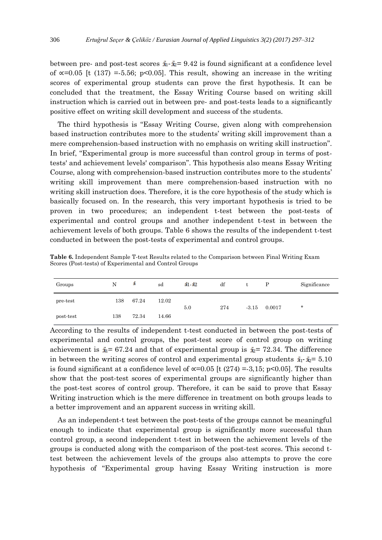between pre- and post-test scores  $\bar{x}_1 - \bar{x}_2 = 9.42$  is found significant at a confidence level of  $\alpha$ =0.05 [t (137) =-5.56; p<0.05]. This result, showing an increase in the writing scores of experimental group students can prove the first hypothesis. It can be concluded that the treatment, the Essay Writing Course based on writing skill instruction which is carried out in between pre- and post-tests leads to a significantly positive effect on writing skill development and success of the students.

The third hypothesis is "Essay Writing Course, given along with comprehension based instruction contributes more to the students' writing skill improvement than a mere comprehension-based instruction with no emphasis on writing skill instruction". In brief, "Experimental group is more successful than control group in terms of posttests' and achievement levels' comparison". This hypothesis also means Essay Writing Course, along with comprehension-based instruction contributes more to the students' writing skill improvement than mere comprehension-based instruction with no writing skill instruction does. Therefore, it is the core hypothesis of the study which is basically focused on. In the research, this very important hypothesis is tried to be proven in two procedures; an independent t-test between the post-tests of experimental and control groups and another independent t-test in between the achievement levels of both groups. Table 6 shows the results of the independent t-test conducted in between the post-tests of experimental and control groups.

| Groups    | N   | а     | sd    | $\dot{a}$ $\dot{a}$ $\dot{b}$ | df  | t       | P      | Significance |
|-----------|-----|-------|-------|-------------------------------|-----|---------|--------|--------------|
| pre-test  | 138 | 67.24 | 12.02 | 5.0                           | 274 | $-3.15$ | 0.0017 | $\star$      |
| post-test | 138 | 72.34 | 14.66 |                               |     |         |        |              |

**Table 6.** Independent Sample T-test Results related to the Comparison between Final Writing Exam Scores (Post-tests) of Experimental and Control Groups

According to the results of independent t-test conducted in between the post-tests of experimental and control groups, the post-test score of control group on writing achievement is  $\dot{x}_1 = 67.24$  and that of experimental group is  $\dot{x}_2 = 72.34$ . The difference in between the writing scores of control and experimental group students  $\bar{x}_1 - \bar{x}_2 = 5.10$ is found significant at a confidence level of  $\alpha$ =0.05 [t (274) =-3,15; p<0.05]. The results show that the post-test scores of experimental groups are significantly higher than the post-test scores of control group. Therefore, it can be said to prove that Essay Writing instruction which is the mere difference in treatment on both groups leads to a better improvement and an apparent success in writing skill.

As an independent-t test between the post-tests of the groups cannot be meaningful enough to indicate that experimental group is significantly more successful than control group, a second independent t-test in between the achievement levels of the groups is conducted along with the comparison of the post-test scores. This second ttest between the achievement levels of the groups also attempts to prove the core hypothesis of "Experimental group having Essay Writing instruction is more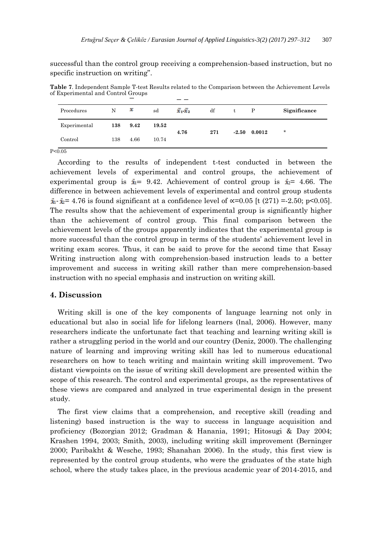successful than the control group receiving a comprehension-based instruction, but no specific instruction on writing".

**Table 7**. Independent Sample T-test Results related to the Comparison between the Achievement Levels of Experimental and Control Groups

| Procedures           | N   | x    | sd    | $\overline{x}$ $\overline{x}$ | df  | t | P              | Significance |
|----------------------|-----|------|-------|-------------------------------|-----|---|----------------|--------------|
| Experimental         | 138 | 9.42 | 19.52 | 4.76                          | 271 |   | $-2.50$ 0.0012 | $\star$      |
| Control              | 138 | 4.66 | 10.74 |                               |     |   |                |              |
| $\sim$ $\sim$ $\sim$ |     |      |       |                               |     |   |                |              |

P<0.05

According to the results of independent t-test conducted in between the achievement levels of experimental and control groups, the achievement of experimental group is  $\bar{x}_1$  = 9.42. Achievement of control group is  $\bar{x}_2$  = 4.66. The difference in between achievement levels of experimental and control group students  $\bar{x}_1$ -  $\bar{x}_2$ = 4.76 is found significant at a confidence level of  $\alpha$ =0.05 [t (271) =-2.50; p<0.05]. The results show that the achievement of experimental group is significantly higher than the achievement of control group. This final comparison between the achievement levels of the groups apparently indicates that the experimental group is more successful than the control group in terms of the students' achievement level in writing exam scores. Thus, it can be said to prove for the second time that Essay Writing instruction along with comprehension-based instruction leads to a better improvement and success in writing skill rather than mere comprehension-based instruction with no special emphasis and instruction on writing skill.

#### **4. Discussion**

Writing skill is one of the key components of language learning not only in educational but also in social life for lifelong learners (Inal, 2006). However, many researchers indicate the unfortunate fact that teaching and learning writing skill is rather a struggling period in the world and our country (Deniz, 2000). The challenging nature of learning and improving writing skill has led to numerous educational researchers on how to teach writing and maintain writing skill improvement. Two distant viewpoints on the issue of writing skill development are presented within the scope of this research. The control and experimental groups, as the representatives of these views are compared and analyzed in true experimental design in the present study.

The first view claims that a comprehension, and receptive skill (reading and listening) based instruction is the way to success in language acquisition and proficiency (Bozorgian 2012; Gradman & Hanania, 1991; Hitosugi & Day 2004; Krashen 1994, 2003; Smith, 2003), including writing skill improvement (Berninger 2000; Paribakht & Wesche, 1993; Shanahan 2006). In the study, this first view is represented by the control group students, who were the graduates of the state high school, where the study takes place, in the previous academic year of 2014-2015, and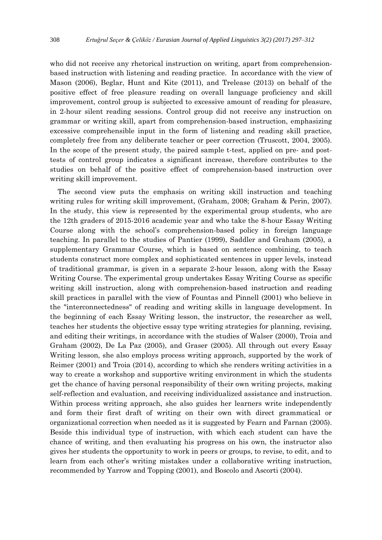who did not receive any rhetorical instruction on writing, apart from comprehensionbased instruction with listening and reading practice. In accordance with the view of Mason (2006), Beglar, Hunt and Kite (2011), and Trelease (2013) on behalf of the positive effect of free pleasure reading on overall language proficiency and skill improvement, control group is subjected to excessive amount of reading for pleasure, in 2-hour silent reading sessions. Control group did not receive any instruction on grammar or writing skill, apart from comprehension-based instruction, emphasizing excessive comprehensible input in the form of listening and reading skill practice, completely free from any deliberate teacher or peer correction (Truscott, 2004, 2005). In the scope of the present study, the paired sample t-test, applied on pre- and posttests of control group indicates a significant increase, therefore contributes to the studies on behalf of the positive effect of comprehension-based instruction over writing skill improvement.

The second view puts the emphasis on writing skill instruction and teaching writing rules for writing skill improvement, (Graham, 2008; Graham & Perin, 2007). In the study, this view is represented by the experimental group students, who are the 12th graders of 2015-2016 academic year and who take the 8-hour Essay Writing Course along with the school's comprehension-based policy in foreign language teaching. In parallel to the studies of Pantier (1999), Saddler and Graham (2005), a supplementary Grammar Course, which is based on sentence combining, to teach students construct more complex and sophisticated sentences in upper levels, instead of traditional grammar, is given in a separate 2-hour lesson, along with the Essay Writing Course. The experimental group undertakes Essay Writing Course as specific writing skill instruction, along with comprehension-based instruction and reading skill practices in parallel with the view of Fountas and Pinnell (2001) who believe in the "interconnectedness" of reading and writing skills in language development. In the beginning of each Essay Writing lesson, the instructor, the researcher as well, teaches her students the objective essay type writing strategies for planning, revising, and editing their writings, in accordance with the studies of Walser (2000), Troia and Graham (2002), De La Paz (2005), and Graser (2005). All through out every Essay Writing lesson, she also employs process writing approach, supported by the work of Reimer (2001) and Troia (2014), according to which she renders writing activities in a way to create a workshop and supportive writing environment in which the students get the chance of having personal responsibility of their own writing projects, making self-reflection and evaluation, and receiving individualized assistance and instruction. Within process writing approach, she also guides her learners write independently and form their first draft of writing on their own with direct grammatical or organizational correction when needed as it is suggested by Fearn and Farnan (2005). Beside this individual type of instruction, with which each student can have the chance of writing, and then evaluating his progress on his own, the instructor also gives her students the opportunity to work in peers or groups, to revise, to edit, and to learn from each other's writing mistakes under a collaborative writing instruction, recommended by Yarrow and Topping (2001), and Boscolo and Ascorti (2004).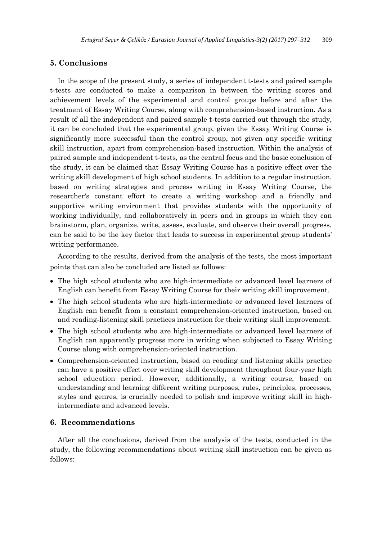# **5. Conclusions**

In the scope of the present study, a series of independent t-tests and paired sample t-tests are conducted to make a comparison in between the writing scores and achievement levels of the experimental and control groups before and after the treatment of Essay Writing Course, along with comprehension-based instruction. As a result of all the independent and paired sample t-tests carried out through the study, it can be concluded that the experimental group, given the Essay Writing Course is significantly more successful than the control group, not given any specific writing skill instruction, apart from comprehension-based instruction. Within the analysis of paired sample and independent t-tests, as the central focus and the basic conclusion of the study, it can be claimed that Essay Writing Course has a positive effect over the writing skill development of high school students. In addition to a regular instruction, based on writing strategies and process writing in Essay Writing Course, the researcher's constant effort to create a writing workshop and a friendly and supportive writing environment that provides students with the opportunity of working individually, and collaboratively in peers and in groups in which they can brainstorm, plan, organize, write, assess, evaluate, and observe their overall progress, can be said to be the key factor that leads to success in experimental group students' writing performance.

According to the results, derived from the analysis of the tests, the most important points that can also be concluded are listed as follows:

- The high school students who are high-intermediate or advanced level learners of English can benefit from Essay Writing Course for their writing skill improvement.
- The high school students who are high-intermediate or advanced level learners of English can benefit from a constant comprehension-oriented instruction, based on and reading-listening skill practices instruction for their writing skill improvement.
- The high school students who are high-intermediate or advanced level learners of English can apparently progress more in writing when subjected to Essay Writing Course along with comprehension-oriented instruction.
- Comprehension-oriented instruction, based on reading and listening skills practice can have a positive effect over writing skill development throughout four-year high school education period. However, additionally, a writing course, based on understanding and learning different writing purposes, rules, principles, processes, styles and genres, is crucially needed to polish and improve writing skill in highintermediate and advanced levels.

#### **6. Recommendations**

After all the conclusions, derived from the analysis of the tests, conducted in the study, the following recommendations about writing skill instruction can be given as follows: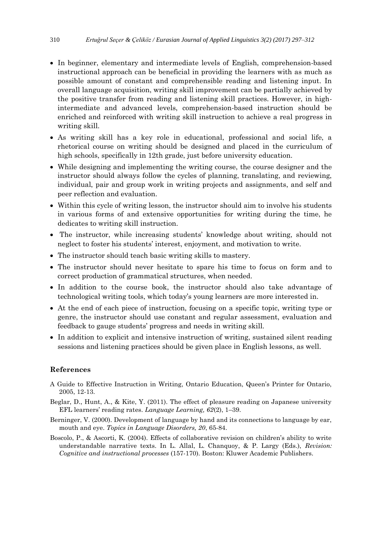- In beginner, elementary and intermediate levels of English, comprehension-based instructional approach can be beneficial in providing the learners with as much as possible amount of constant and comprehensible reading and listening input. In overall language acquisition, writing skill improvement can be partially achieved by the positive transfer from reading and listening skill practices. However, in highintermediate and advanced levels, comprehension-based instruction should be enriched and reinforced with writing skill instruction to achieve a real progress in writing skill.
- As writing skill has a key role in educational, professional and social life, a rhetorical course on writing should be designed and placed in the curriculum of high schools, specifically in 12th grade, just before university education.
- While designing and implementing the writing course, the course designer and the instructor should always follow the cycles of planning, translating, and reviewing, individual, pair and group work in writing projects and assignments, and self and peer reflection and evaluation.
- Within this cycle of writing lesson, the instructor should aim to involve his students in various forms of and extensive opportunities for writing during the time, he dedicates to writing skill instruction.
- The instructor, while increasing students' knowledge about writing, should not neglect to foster his students' interest, enjoyment, and motivation to write.
- The instructor should teach basic writing skills to mastery.
- The instructor should never hesitate to spare his time to focus on form and to correct production of grammatical structures, when needed.
- In addition to the course book, the instructor should also take advantage of technological writing tools, which today's young learners are more interested in.
- At the end of each piece of instruction, focusing on a specific topic, writing type or genre, the instructor should use constant and regular assessment, evaluation and feedback to gauge students' progress and needs in writing skill.
- In addition to explicit and intensive instruction of writing, sustained silent reading sessions and listening practices should be given place in English lessons, as well.

## **References**

- A Guide to Effective Instruction in Writing, Ontario Education, Queen's Printer for Ontario, 2005, 12-13.
- Beglar, D., Hunt, A., & Kite, Y. (2011). The effect of pleasure reading on Japanese university EFL learners' reading rates. *Language Learning, 62*(2), 1–39.
- Berninger, V. (2000). Development of language by hand and its connections to language by ear, mouth and eye. *Topics in Language Disorders, 20*, 65-84.
- Boscolo, P., & Ascorti, K. (2004). Effects of collaborative revision on children's ability to write understandable narrative texts. In L. Allal, L. Chanquoy, & P. Largy (Eds.), *Revision: Cognitive and instructional processes* (157-170). Boston: Kluwer Academic Publishers.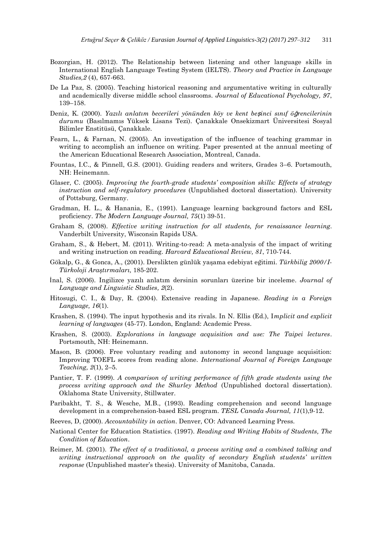- Bozorgian, H. (2012). The Relationship between listening and other language skills in International English Language Testing System (IELTS). *Theory and Practice in Language Studies,2* (4), 657-663.
- De La Paz, S. (2005). Teaching historical reasoning and argumentative writing in culturally and academically diverse middle school classrooms. *Journal of Educational Psychology, 97*, 139–158.
- Deniz, K. (2000). *Yazılı anlatım becerileri yönünden köy ve kent be*ş*inci sınıf ö*ğ*rencilerinin durumu* (Basılmamıs Yüksek Lisans Tezi). Çanakkale Onsekizmart Üniversitesi Sosyal Bilimler Enstitüsü, Çanakkale.
- Fearn, L., & Farnan, N. (2005). An investigation of the influence of teaching grammar in writing to accomplish an influence on writing. Paper presented at the annual meeting of the American Educational Research Association, Montreal, Canada.
- Fountas, I.C., & Pinnell, G.S. (2001). Guiding readers and writers, Grades 3–6. Portsmouth, NH: Heinemann.
- Glaser, C. (2005). *Improving the fourth-grade students' composition skills: Effects of strategy instruction and self-regulatory procedures* (Unpublished doctoral dissertation). University of Pottsburg, Germany.
- Gradman, H. L., & Hanania, E., (1991). Language learning background factors and ESL proficiency. *The Modern Language Journal, 75*(1) 39-51.
- Graham S, (2008). *Effective writing instruction for all students, for renaissance learning*. Vanderbilt University, Wisconsin Rapids USA.
- Graham, S., & Hebert, M. (2011). Writing-to-read: A meta-analysis of the impact of writing and writing instruction on reading. *Harvard Educational Review, 81*, 710-744.
- Gökalp, G., & Gonca, A., (2001). Derslikten günlük yaşama edebiyat eğitimi. Türkbilig 2000/I-*Türkoloji Aras tırmaları,* 185-202.
- İnal, S. (2006). I ngilizce yazılı anlatım dersinin sorunları üzerine bir inceleme. *Journal of Language and Linguistic Studies, 2*(2).
- Hitosugi, C. I., & Day, R. (2004). Extensive reading in Japanese. *Reading in a Foreign Language, 16*(1).
- Krashen, S. (1994). The input hypothesis and its rivals. In N. Ellis (Ed.), I*mplicit and explicit learning of languages* (45-77). London, England: Academic Press.
- Krashen, S. (2003). *Explorations in language acquisition and use: The Taipei lectures*. Portsmouth, NH: Heinemann.
- Mason, B. (2006). Free voluntary reading and autonomy in second language acquisition: Improving TOEFL scores from reading alone. *International Journal of Foreign Language Teaching, 2*(1), 2–5.
- Pantier, T. F. (1999). *A comparison of writing performance of fifth grade students using the process writing approach and the Shurley Method* (Unpublished doctoral dissertation). Oklahoma State University, Stillwater.
- Paribakht, T. S., & Wesche, M.B., (1993). Reading comprehension and second language development in a comprehension-based ESL program. *TESL Canada Journal, 11*(1),9-12.
- Reeves, D, (2000). *Accountability in action*. Denver, CO: Advanced Learning Press.
- National Center for Education Statistics. (1997). *Reading and Writing Habits of Students, The Condition of Education*.
- Reimer, M. (2001). *The effect of a traditional, a process writing and a combined talking and writing instructional approach on the quality of secondary English students' written response* (Unpublished master's thesis). University of Manitoba, Canada.